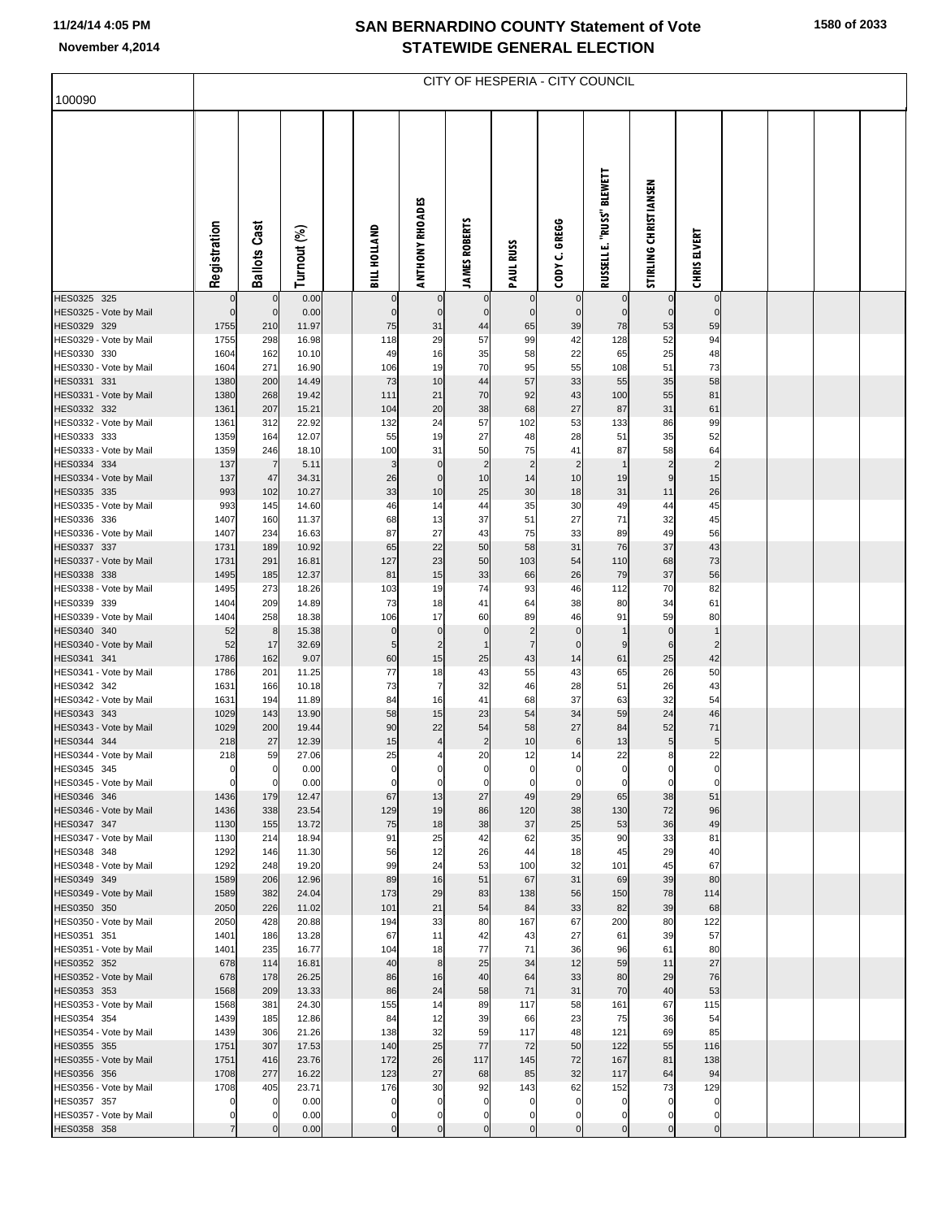## **SAN BERNARDINO COUNTY Statement of Vote November 4,2014 STATEWIDE GENERAL ELECTION**

**1580 of 2033**

|                                       | CITY OF HESPERIA - CITY COUNCIL |                      |                |  |                     |                               |                               |                                  |                            |                               |                             |                               |  |  |  |
|---------------------------------------|---------------------------------|----------------------|----------------|--|---------------------|-------------------------------|-------------------------------|----------------------------------|----------------------------|-------------------------------|-----------------------------|-------------------------------|--|--|--|
| 100090                                |                                 |                      |                |  |                     |                               |                               |                                  |                            |                               |                             |                               |  |  |  |
|                                       | Registration                    | <b>Ballots Cast</b>  | Turnout (%)    |  | BILL HOLLAND        | <b>ANTHONY RHOADES</b>        | <b>JAMES ROBERTS</b>          | <b>PAUL RUSS</b>                 | CODY C. GREGG              | RUSSELL E. "RUSS" BLEWETT     | STIRLING CHRISTIANSEN       | <b>CHRIS ELVERT</b>           |  |  |  |
| HES0325 325                           |                                 |                      | 0.00           |  |                     | $\mathbf 0$                   | $\mathbf 0$                   | $\mathbf 0$                      |                            | $\mathbf 0$                   | $\mathbf 0$                 | $\mathbf 0$                   |  |  |  |
| HES0325 - Vote by Mail<br>HES0329 329 | $\Omega$<br>1755                | $\mathbf 0$<br>210   | 0.00<br>11.97  |  | $\mathcal{C}$<br>75 | $\mathbf 0$<br>31             | $\mathbf 0$<br>44             | $\overline{0}$<br>65             | $\Omega$<br>39             | $\mathbf 0$<br>78             | $\mathbf 0$<br>53           | $\mathbf 0$<br>59             |  |  |  |
| HES0329 - Vote by Mail                | 1755                            | 298                  | 16.98          |  | 118                 | 29                            | 57                            | 99                               | 42                         | 128                           | 52                          | 94                            |  |  |  |
| HES0330 330                           | 1604                            | 162                  | 10.10          |  | 49                  | 16                            | 35                            | 58                               | 22                         | 65                            | 25                          | 48                            |  |  |  |
| HES0330 - Vote by Mail                | 1604                            | 271                  | 16.90          |  | 106                 | 19                            | 70                            | 95                               | 55                         | 108                           | 51                          | 73                            |  |  |  |
| HES0331 331                           | 1380<br>1380                    | 200<br>268           | 14.49<br>19.42 |  | 73<br>111           | 10<br>21                      | 44<br>70                      | 57<br>92                         | 33<br>43                   | 55<br>100                     | 35<br>55                    | 58<br>81                      |  |  |  |
| HES0331 - Vote by Mail<br>HES0332 332 | 1361                            | 207                  | 15.21          |  | 104                 | 20                            | 38                            | 68                               | 27                         | 87                            | 31                          | 61                            |  |  |  |
| HES0332 - Vote by Mail                | 1361                            | 312                  | 22.92          |  | 132                 | 24                            | 57                            | 102                              | 53                         | 133                           | 86                          | 99                            |  |  |  |
| HES0333 333                           | 1359                            | 164                  | 12.07          |  | 55                  | 19                            | 27                            | 48                               | 28                         | 51                            | 35                          | 52                            |  |  |  |
| HES0333 - Vote by Mail                | 1359                            | 246                  | 18.10          |  | 100                 | 31                            | 50                            | 75                               | 41                         | 87                            | 58                          | 64                            |  |  |  |
| HES0334 334                           | 137<br>137                      | $\overline{7}$<br>47 | 5.11<br>34.31  |  | 3<br>26             | $\mathbf 0$<br>$\pmb{0}$      | $\overline{2}$<br>10          | $\overline{c}$<br>14             | $\overline{2}$<br>10       | $\mathbf{1}$<br>19            | $\overline{c}$<br>9         | $\overline{c}$<br>15          |  |  |  |
| HES0334 - Vote by Mail<br>HES0335 335 | 993                             | 102                  | 10.27          |  | 33                  | 10                            | 25                            | 30                               | 18                         | 31                            | 11                          | 26                            |  |  |  |
| HES0335 - Vote by Mail                | 993                             | 145                  | 14.60          |  | 46                  | 14                            | 44                            | 35                               | 30                         | 49                            | 44                          | 45                            |  |  |  |
| HES0336 336                           | 1407                            | 160                  | 11.37          |  | 68                  | 13                            | 37                            | 51                               | 27                         | 71                            | 32                          | 45                            |  |  |  |
| HES0336 - Vote by Mail                | 1407                            | 234                  | 16.63          |  | 87                  | 27                            | 43                            | 75                               | 33                         | 89                            | 49                          | 56                            |  |  |  |
| HES0337 337                           | 1731                            | 189                  | 10.92          |  | 65                  | 22<br>23                      | 50                            | 58                               | 31                         | 76                            | 37                          | 43<br>73                      |  |  |  |
| HES0337 - Vote by Mail<br>HES0338 338 | 1731<br>1495                    | 291<br>185           | 16.81<br>12.37 |  | 127<br>81           | 15                            | 50<br>33                      | 103<br>66                        | 54<br>26                   | 110<br>79                     | 68<br>37                    | 56                            |  |  |  |
| HES0338 - Vote by Mail                | 1495                            | 273                  | 18.26          |  | 103                 | 19                            | 74                            | 93                               | 46                         | 112                           | 70                          | 82                            |  |  |  |
| HES0339 339                           | 1404                            | 209                  | 14.89          |  | 73                  | 18                            | 41                            | 64                               | 38                         | 80                            | 34                          | 61                            |  |  |  |
| HES0339 - Vote by Mail                | 1404                            | 258                  | 18.38          |  | 106                 | 17                            | 60                            | 89                               | 46                         | 91                            | 59                          | 80                            |  |  |  |
| HES0340 340<br>HES0340 - Vote by Mail | 52<br>52                        | 8<br>17              | 15.38<br>32.69 |  | $\mathbf 0$<br>5    | $\mathbf 0$<br>$\overline{2}$ | $\mathbf 0$<br>$\overline{1}$ | $\overline{c}$<br>$\overline{7}$ | $\mathbf 0$<br>$\mathbf 0$ | $\overline{1}$<br>9           | $\mathbf 0$<br>6            | $\overline{1}$<br>2           |  |  |  |
| HES0341 341                           | 1786                            | 162                  | 9.07           |  | 60                  | 15                            | 25                            | 43                               | 14                         | 61                            | 25                          | 42                            |  |  |  |
| HES0341 - Vote by Mail                | 1786                            | 201                  | 11.25          |  | 77                  | 18                            | 43                            | 55                               | 43                         | 65                            | 26                          | 50                            |  |  |  |
| HES0342 342                           | 1631                            | 166                  | 10.18          |  | 73                  | $\overline{7}$                | 32                            | 46                               | 28                         | 51                            | 26                          | 43                            |  |  |  |
| HES0342 - Vote by Mail                | 1631                            | 194                  | 11.89          |  | 84                  | 16                            | 41                            | 68                               | 37                         | 63                            | 32                          | 54                            |  |  |  |
| HES0343 343<br>HES0343 - Vote by Mail | 1029<br>1029                    | 143<br>200           | 13.90<br>19.44 |  | 58<br>90            | 15<br>22                      | 23<br>54                      | 54<br>58                         | 34<br>27                   | 59<br>84                      | 24<br>52                    | 46<br>71                      |  |  |  |
| HES0344 344                           | 218                             | 27                   | 12.39          |  | 15                  | $\overline{\mathbf{4}}$       | $\overline{\mathbf{c}}$       | 10                               | $\,6$                      | 13                            | 5                           | 5 <sub>5</sub>                |  |  |  |
| HES0344 - Vote by Mail                | 218                             | 59                   | 27.06          |  | 25                  | 4                             | 20                            | 12                               | 14                         | 22                            | 8                           | 22                            |  |  |  |
| HES0345 345                           | $\mathbf 0$                     | 0                    | 0.00           |  | C                   | $\Omega$                      | $\mathbf 0$                   | $\overline{0}$                   | $\mathbf 0$                | $\mathbf 0$                   | $\mathbf 0$                 | 0                             |  |  |  |
| HES0345 - Vote by Mail                | $\mathbf 0$                     | $\Omega$             | 0.00           |  | $\mathbf 0$         | $\mathbf 0$                   | $\mathbf 0$                   | $\overline{0}$                   | $\mathbf 0$                | $\mathbf 0$                   | $\mathbf 0$                 | $\mathbf 0$                   |  |  |  |
| HES0346 346<br>HES0346 - Vote by Mail | 1436<br>1436                    | 179<br>338           | 12.47<br>23.54 |  | 67<br>129           | 13<br>19                      | 27<br>86                      | 49<br>120                        | 29<br>38                   | 65<br>130                     | 38<br>72                    | 51<br>96                      |  |  |  |
| HES0347 347                           | 1130                            | 155                  | 13.72          |  | 75                  | 18                            | 38                            | 37                               | 25                         | 53                            | 36                          | 49                            |  |  |  |
| HES0347 - Vote by Mail                | 1130                            | 214                  | 18.94          |  | 91                  | 25                            | 42                            | 62                               | 35                         | 90                            | 33                          | 81                            |  |  |  |
| HES0348 348                           | 1292                            | 146                  | 11.30          |  | 56                  | 12                            | 26                            | 44                               | 18                         | 45                            | 29                          | 40                            |  |  |  |
| HES0348 - Vote by Mail<br>HES0349 349 | 1292                            | 248                  | 19.20<br>12.96 |  | 99<br>89            | 24<br>16                      | 53<br>51                      | 100<br>67                        | 32<br>31                   | 101<br>69                     | 45<br>39                    | 67<br>80                      |  |  |  |
| HES0349 - Vote by Mail                | 1589<br>1589                    | 206<br>382           | 24.04          |  | 173                 | 29                            | 83                            | 138                              | 56                         | 150                           | 78                          | 114                           |  |  |  |
| HES0350 350                           | 2050                            | 226                  | 11.02          |  | 101                 | 21                            | 54                            | 84                               | 33                         | 82                            | 39                          | 68                            |  |  |  |
| HES0350 - Vote by Mail                | 2050                            | 428                  | 20.88          |  | 194                 | 33                            | 80                            | 167                              | 67                         | 200                           | 80                          | 122                           |  |  |  |
| HES0351 351                           | 1401                            | 186                  | 13.28          |  | 67                  | 11                            | 42                            | 43                               | 27                         | 61                            | 39                          | 57                            |  |  |  |
| HES0351 - Vote by Mail<br>HES0352 352 | 1401<br>678                     | 235<br>114           | 16.77<br>16.81 |  | 104<br>40           | 18<br>8                       | 77<br>25                      | 71<br>34                         | 36<br>12                   | 96<br>59                      | 61<br>11                    | 80<br>27                      |  |  |  |
| HES0352 - Vote by Mail                | 678                             | 178                  | 26.25          |  | 86                  | 16                            | 40                            | 64                               | 33                         | 80                            | 29                          | 76                            |  |  |  |
| HES0353 353                           | 1568                            | 209                  | 13.33          |  | 86                  | 24                            | 58                            | 71                               | 31                         | 70                            | 40                          | 53                            |  |  |  |
| HES0353 - Vote by Mail                | 1568                            | 381                  | 24.30          |  | 155                 | 14                            | 89                            | 117                              | 58                         | 161                           | 67                          | 115                           |  |  |  |
| HES0354 354                           | 1439                            | 185                  | 12.86          |  | 84                  | 12                            | 39                            | 66                               | 23                         | 75                            | 36                          | 54                            |  |  |  |
| HES0354 - Vote by Mail<br>HES0355 355 | 1439<br>1751                    | 306<br>307           | 21.26<br>17.53 |  | 138<br>140          | 32<br>25                      | 59<br>77                      | 117<br>72                        | 48<br>50                   | 121<br>122                    | 69<br>55                    | 85<br>116                     |  |  |  |
| HES0355 - Vote by Mail                | 1751                            | 416                  | 23.76          |  | 172                 | 26                            | 117                           | 145                              | 72                         | 167                           | 81                          | 138                           |  |  |  |
| HES0356 356                           | 1708                            | 277                  | 16.22          |  | 123                 | 27                            | 68                            | 85                               | 32                         | 117                           | 64                          | 94                            |  |  |  |
| HES0356 - Vote by Mail                | 1708                            | 405                  | 23.71          |  | 176                 | 30                            | 92                            | 143                              | 62                         | 152                           | 73                          | 129                           |  |  |  |
| HES0357 357                           | $\mathbf 0$                     | $\Omega$             | 0.00           |  | C                   | $\mathbf 0$                   | $\mathbf 0$                   | $\mathbf 0$                      | $\mathbf 0$                | 0                             | $\mathbf 0$                 | 0                             |  |  |  |
| HES0357 - Vote by Mail<br>HES0358 358 | $\mathbf 0$<br>$\overline{7}$   | $\mathbf 0$          | 0.00<br>0.00   |  | C<br>$\mathbf 0$    | $\mathbf 0$<br>$\overline{0}$ | $\mathbf 0$<br>$\overline{0}$ | $\overline{0}$<br>$\overline{0}$ | $\mathbf 0$<br>$\mathbf 0$ | $\mathbf 0$<br>$\overline{0}$ | $\mathbf{0}$<br>$\mathbf 0$ | $\mathbf 0$<br>$\overline{0}$ |  |  |  |
|                                       |                                 |                      |                |  |                     |                               |                               |                                  |                            |                               |                             |                               |  |  |  |